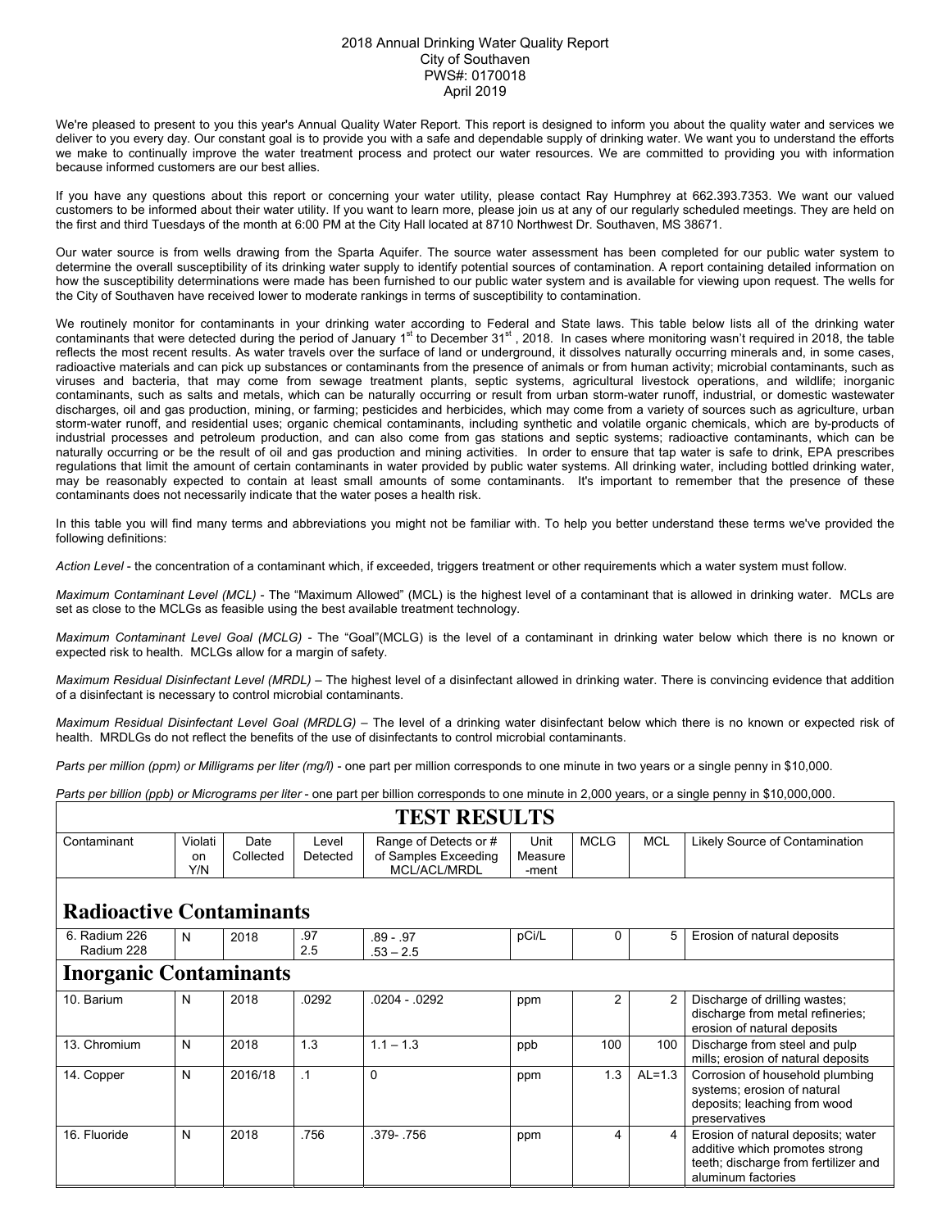## 2018 Annual Drinking Water Quality Report City of Southaven PWS#: 0170018 April 2019

We're pleased to present to you this year's Annual Quality Water Report. This report is designed to inform you about the quality water and services we deliver to you every day. Our constant goal is to provide you with a safe and dependable supply of drinking water. We want you to understand the efforts we make to continually improve the water treatment process and protect our water resources. We are committed to providing you with information because informed customers are our best allies.

If you have any questions about this report or concerning your water utility, please contact Ray Humphrey at 662.393.7353. We want our valued customers to be informed about their water utility. If you want to learn more, please join us at any of our regularly scheduled meetings. They are held on the first and third Tuesdays of the month at 6:00 PM at the City Hall located at 8710 Northwest Dr. Southaven, MS 38671.

Our water source is from wells drawing from the Sparta Aquifer. The source water assessment has been completed for our public water system to determine the overall susceptibility of its drinking water supply to identify potential sources of contamination. A report containing detailed information on how the susceptibility determinations were made has been furnished to our public water system and is available for viewing upon request. The wells for the City of Southaven have received lower to moderate rankings in terms of susceptibility to contamination.

We routinely monitor for contaminants in your drinking water according to Federal and State laws. This table below lists all of the drinking water contaminants that were detected during the period of January 1st to December 31st, 2018. In cases where monitoring wasn't required in 2018, the table reflects the most recent results. As water travels over the surface of land or underground, it dissolves naturally occurring minerals and, in some cases, radioactive materials and can pick up substances or contaminants from the presence of animals or from human activity; microbial contaminants, such as viruses and bacteria, that may come from sewage treatment plants, septic systems, agricultural livestock operations, and wildlife; inorganic contaminants, such as salts and metals, which can be naturally occurring or result from urban storm-water runoff, industrial, or domestic wastewater discharges, oil and gas production, mining, or farming; pesticides and herbicides, which may come from a variety of sources such as agriculture, urban storm-water runoff, and residential uses; organic chemical contaminants, including synthetic and volatile organic chemicals, which are by-products of industrial processes and petroleum production, and can also come from gas stations and septic systems; radioactive contaminants, which can be naturally occurring or be the result of oil and gas production and mining activities. In order to ensure that tap water is safe to drink, EPA prescribes regulations that limit the amount of certain contaminants in water provided by public water systems. All drinking water, including bottled drinking water, may be reasonably expected to contain at least small amounts of some contaminants. It's important to remember that the presence of these contaminants does not necessarily indicate that the water poses a health risk.

In this table you will find many terms and abbreviations you might not be familiar with. To help you better understand these terms we've provided the following definitions:

*Action Level* - the concentration of a contaminant which, if exceeded, triggers treatment or other requirements which a water system must follow.

*Maximum Contaminant Level (MCL)* - The "Maximum Allowed" (MCL) is the highest level of a contaminant that is allowed in drinking water. MCLs are set as close to the MCLGs as feasible using the best available treatment technology.

*Maximum Contaminant Level Goal (MCLG)* - The "Goal"(MCLG) is the level of a contaminant in drinking water below which there is no known or expected risk to health. MCLGs allow for a margin of safety.

*Maximum Residual Disinfectant Level (MRDL)* – The highest level of a disinfectant allowed in drinking water. There is convincing evidence that addition of a disinfectant is necessary to control microbial contaminants.

*Maximum Residual Disinfectant Level Goal (MRDLG)* – The level of a drinking water disinfectant below which there is no known or expected risk of health. MRDLGs do not reflect the benefits of the use of disinfectants to control microbial contaminants.

*Parts per million (ppm) or Milligrams per liter (mg/l)* - one part per million corresponds to one minute in two years or a single penny in \$10,000.

*Parts per billion (ppb) or Micrograms per liter* - one part per billion corresponds to one minute in 2,000 years, or a single penny in \$10,000,000.

## **TEST RESULTS**

| Contaminant                     | Violati<br>on<br>Y/N | Date<br>Collected | Level<br>Detected | Range of Detects or #<br>of Samples Exceeding<br>MCL/ACL/MRDL | Unit<br>Measure<br>-ment | <b>MCLG</b>    | <b>MCL</b> | Likely Source of Contamination                                                                                                     |  |  |
|---------------------------------|----------------------|-------------------|-------------------|---------------------------------------------------------------|--------------------------|----------------|------------|------------------------------------------------------------------------------------------------------------------------------------|--|--|
| <b>Radioactive Contaminants</b> |                      |                   |                   |                                                               |                          |                |            |                                                                                                                                    |  |  |
| 6. Radium 226<br>Radium 228     | N                    | 2018              | .97<br>2.5        | .89 - .97<br>$.53 - 2.5$                                      | pCi/L                    | 0              | 5          | Erosion of natural deposits                                                                                                        |  |  |
| <b>Inorganic Contaminants</b>   |                      |                   |                   |                                                               |                          |                |            |                                                                                                                                    |  |  |
| 10. Barium                      | N                    | 2018              | .0292             | $.0204 - .0292$                                               | ppm                      | $\overline{2}$ | 2          | Discharge of drilling wastes;<br>discharge from metal refineries;<br>erosion of natural deposits                                   |  |  |
| 13. Chromium                    | N                    | 2018              | 1.3               | $1.1 - 1.3$                                                   | ppb                      | 100            | 100        | Discharge from steel and pulp<br>mills; erosion of natural deposits                                                                |  |  |
| 14. Copper                      | N                    | 2016/18           | $\cdot$ 1         | $\Omega$                                                      | ppm                      | 1.3            | $AL=1.3$   | Corrosion of household plumbing<br>systems; erosion of natural<br>deposits; leaching from wood<br>preservatives                    |  |  |
| 16. Fluoride                    | N                    | 2018              | .756              | .379-.756                                                     | ppm                      | 4              | 4          | Erosion of natural deposits; water<br>additive which promotes strong<br>teeth; discharge from fertilizer and<br>aluminum factories |  |  |